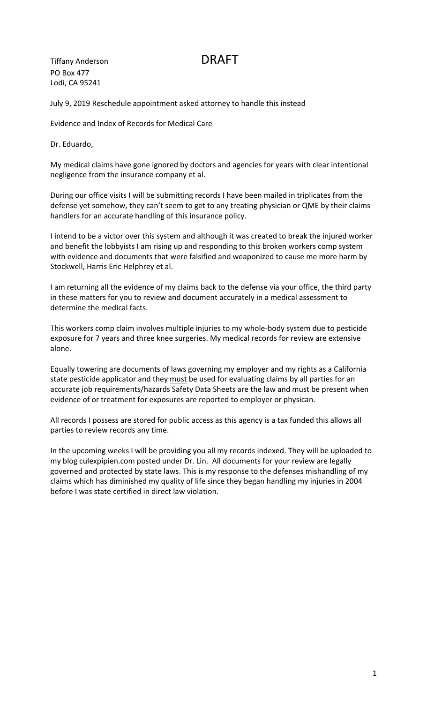Tiffany Anderson DRAFT PO Box 477 Lodi, CA 95241

July 9, 2019 Reschedule appointment asked attorney to handle this instead

Evidence and Index of Records for Medical Care

Dr. Eduardo,

My medical claims have gone ignored by doctors and agencies for years with clear intentional negligence from the insurance company et al.

During our office visits I will be submitting records I have been mailed in triplicates from the defense yet somehow, they can't seem to get to any treating physician or QME by their claims handlers for an accurate handling of this insurance policy.

I intend to be a victor over this system and although it was created to break the injured worker and benefit the lobbyists I am rising up and responding to this broken workers comp system with evidence and documents that were falsified and weaponized to cause me more harm by Stockwell, Harris Eric Helphrey et al.

I am returning all the evidence of my claims back to the defense via your office, the third party in these matters for you to review and document accurately in a medical assessment to determine the medical facts.

This workers comp claim involves multiple injuries to my whole-body system due to pesticide exposure for 7 years and three knee surgeries. My medical records for review are extensive alone.

Equally towering are documents of laws governing my employer and my rights as a California state pesticide applicator and they must be used for evaluating claims by all parties for an accurate job requirements/hazards Safety Data Sheets are the law and must be present when evidence of or treatment for exposures are reported to employer or physican.

All records I possess are stored for public access as this agency is a tax funded this allows all parties to review records any time.

In the upcoming weeks I will be providing you all my records indexed. They will be uploaded to my blog culexpipien.com posted under Dr. Lin. All documents for your review are legally governed and protected by state laws. This is my response to the defenses mishandling of my claims which has diminished my quality of life since they began handling my injuries in 2004 before I was state certified in direct law violation.